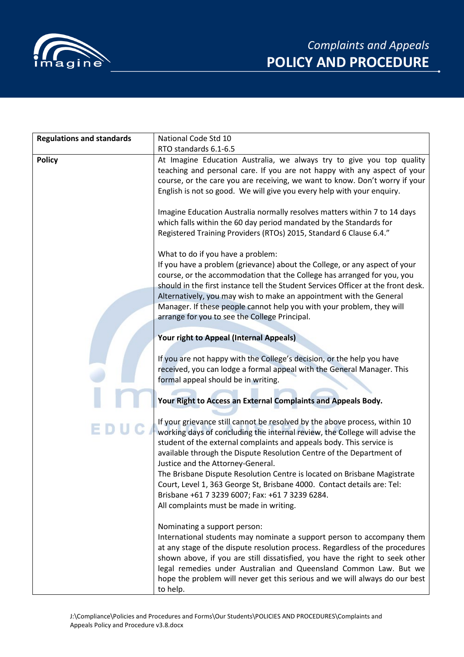

| <b>Regulations and standards</b> | National Code Std 10                                                              |  |  |  |
|----------------------------------|-----------------------------------------------------------------------------------|--|--|--|
|                                  | RTO standards 6.1-6.5                                                             |  |  |  |
| <b>Policy</b>                    | At Imagine Education Australia, we always try to give you top quality             |  |  |  |
|                                  | teaching and personal care. If you are not happy with any aspect of your          |  |  |  |
|                                  | course, or the care you are receiving, we want to know. Don't worry if your       |  |  |  |
|                                  | English is not so good. We will give you every help with your enquiry.            |  |  |  |
|                                  |                                                                                   |  |  |  |
|                                  | Imagine Education Australia normally resolves matters within 7 to 14 days         |  |  |  |
|                                  | which falls within the 60 day period mandated by the Standards for                |  |  |  |
|                                  | Registered Training Providers (RTOs) 2015, Standard 6 Clause 6.4."                |  |  |  |
|                                  | What to do if you have a problem:                                                 |  |  |  |
|                                  | If you have a problem (grievance) about the College, or any aspect of your        |  |  |  |
|                                  | course, or the accommodation that the College has arranged for you, you           |  |  |  |
|                                  | should in the first instance tell the Student Services Officer at the front desk. |  |  |  |
|                                  | Alternatively, you may wish to make an appointment with the General               |  |  |  |
|                                  | Manager. If these people cannot help you with your problem, they will             |  |  |  |
|                                  | arrange for you to see the College Principal.                                     |  |  |  |
|                                  |                                                                                   |  |  |  |
|                                  | Your right to Appeal (Internal Appeals)                                           |  |  |  |
|                                  | If you are not happy with the College's decision, or the help you have            |  |  |  |
|                                  | received, you can lodge a formal appeal with the General Manager. This            |  |  |  |
|                                  | formal appeal should be in writing.                                               |  |  |  |
|                                  |                                                                                   |  |  |  |
|                                  | Your Right to Access an External Complaints and Appeals Body.                     |  |  |  |
|                                  | If your grievance still cannot be resolved by the above process, within 10        |  |  |  |
|                                  | working days of concluding the internal review, the College will advise the       |  |  |  |
|                                  | student of the external complaints and appeals body. This service is              |  |  |  |
|                                  | available through the Dispute Resolution Centre of the Department of              |  |  |  |
|                                  | Justice and the Attorney-General.                                                 |  |  |  |
|                                  | The Brisbane Dispute Resolution Centre is located on Brisbane Magistrate          |  |  |  |
|                                  | Court, Level 1, 363 George St, Brisbane 4000. Contact details are: Tel:           |  |  |  |
|                                  | Brisbane +61 7 3239 6007; Fax: +61 7 3239 6284.                                   |  |  |  |
|                                  | All complaints must be made in writing.                                           |  |  |  |
|                                  | Nominating a support person:                                                      |  |  |  |
|                                  | International students may nominate a support person to accompany them            |  |  |  |
|                                  | at any stage of the dispute resolution process. Regardless of the procedures      |  |  |  |
|                                  | shown above, if you are still dissatisfied, you have the right to seek other      |  |  |  |
|                                  | legal remedies under Australian and Queensland Common Law. But we                 |  |  |  |
|                                  | hope the problem will never get this serious and we will always do our best       |  |  |  |
|                                  | to help.                                                                          |  |  |  |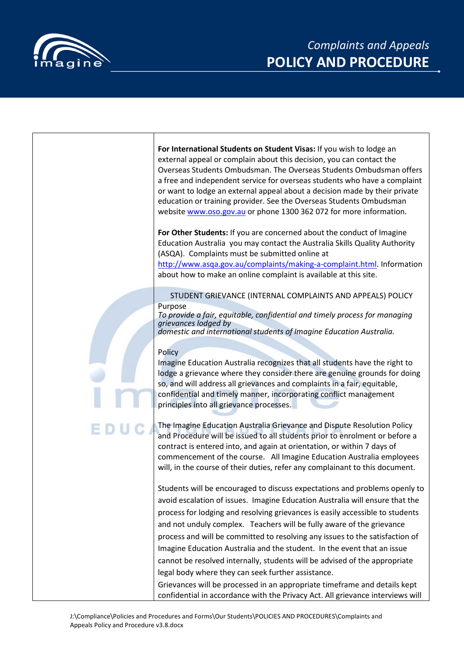



| For International Students on Student Visas: If you wish to lodge an<br>external appeal or complain about this decision, you can contact the<br>Overseas Students Ombudsman. The Overseas Students Ombudsman offers<br>a free and independent service for overseas students who have a complaint<br>or want to lodge an external appeal about a decision made by their private<br>education or training provider. See the Overseas Students Ombudsman<br>website www.oso.gov.au or phone 1300 362 072 for more information.                                                                                         |
|---------------------------------------------------------------------------------------------------------------------------------------------------------------------------------------------------------------------------------------------------------------------------------------------------------------------------------------------------------------------------------------------------------------------------------------------------------------------------------------------------------------------------------------------------------------------------------------------------------------------|
| For Other Students: If you are concerned about the conduct of Imagine<br>Education Australia you may contact the Australia Skills Quality Authority<br>(ASQA). Complaints must be submitted online at<br>http://www.asqa.gov.au/complaints/making-a-complaint.html. Information<br>about how to make an online complaint is available at this site.                                                                                                                                                                                                                                                                 |
| STUDENT GRIEVANCE (INTERNAL COMPLAINTS AND APPEALS) POLICY<br>Purpose<br>To provide a fair, equitable, confidential and timely process for managing<br>grievances lodged by<br>domestic and international students of Imagine Education Australia.                                                                                                                                                                                                                                                                                                                                                                  |
| Policy<br>Imagine Education Australia recognizes that all students have the right to<br>lodge a grievance where they consider there are genuine grounds for doing<br>so, and will address all grievances and complaints in a fair, equitable,<br>confidential and timely manner, incorporating conflict management<br>principles into all grievance processes.                                                                                                                                                                                                                                                      |
| The Imagine Education Australia Grievance and Dispute Resolution Policy<br>and Procedure will be issued to all students prior to enrolment or before a<br>contract is entered into, and again at orientation, or within 7 days of<br>commencement of the course. All Imagine Education Australia employees<br>will, in the course of their duties, refer any complainant to this document.                                                                                                                                                                                                                          |
| Students will be encouraged to discuss expectations and problems openly to<br>avoid escalation of issues. Imagine Education Australia will ensure that the<br>process for lodging and resolving grievances is easily accessible to students<br>and not unduly complex. Teachers will be fully aware of the grievance<br>process and will be committed to resolving any issues to the satisfaction of<br>Imagine Education Australia and the student. In the event that an issue<br>cannot be resolved internally, students will be advised of the appropriate<br>legal body where they can seek further assistance. |
| Grievances will be processed in an appropriate timeframe and details kept<br>confidential in accordance with the Privacy Act. All grievance interviews will                                                                                                                                                                                                                                                                                                                                                                                                                                                         |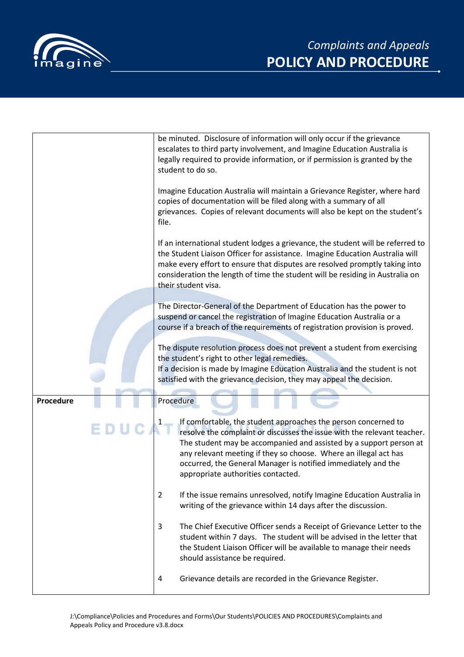



|           | be minuted. Disclosure of information will only occur if the grievance<br>escalates to third party involvement, and Imagine Education Australia is<br>legally required to provide information, or if permission is granted by the<br>student to do so.                                                                                                                                     |
|-----------|--------------------------------------------------------------------------------------------------------------------------------------------------------------------------------------------------------------------------------------------------------------------------------------------------------------------------------------------------------------------------------------------|
|           | Imagine Education Australia will maintain a Grievance Register, where hard<br>copies of documentation will be filed along with a summary of all<br>grievances. Copies of relevant documents will also be kept on the student's<br>file.                                                                                                                                                    |
|           | If an international student lodges a grievance, the student will be referred to<br>the Student Liaison Officer for assistance. Imagine Education Australia will<br>make every effort to ensure that disputes are resolved promptly taking into<br>consideration the length of time the student will be residing in Australia on<br>their student visa.                                     |
|           | The Director-General of the Department of Education has the power to<br>suspend or cancel the registration of Imagine Education Australia or a<br>course if a breach of the requirements of registration provision is proved.                                                                                                                                                              |
|           | The dispute resolution process does not prevent a student from exercising<br>the student's right to other legal remedies.<br>If a decision is made by Imagine Education Australia and the student is not<br>satisfied with the grievance decision, they may appeal the decision.                                                                                                           |
|           |                                                                                                                                                                                                                                                                                                                                                                                            |
| Procedure | Procedure                                                                                                                                                                                                                                                                                                                                                                                  |
|           | If comfortable, the student approaches the person concerned to<br>resolve the complaint or discusses the issue with the relevant teacher.<br>The student may be accompanied and assisted by a support person at<br>any relevant meeting if they so choose. Where an illegal act has<br>occurred, the General Manager is notified immediately and the<br>appropriate authorities contacted. |
|           | If the issue remains unresolved, notify Imagine Education Australia in<br>$\overline{2}$<br>writing of the grievance within 14 days after the discussion.                                                                                                                                                                                                                                  |
|           | The Chief Executive Officer sends a Receipt of Grievance Letter to the<br>3<br>student within 7 days. The student will be advised in the letter that<br>the Student Liaison Officer will be available to manage their needs<br>should assistance be required.                                                                                                                              |
|           | Grievance details are recorded in the Grievance Register.<br>4                                                                                                                                                                                                                                                                                                                             |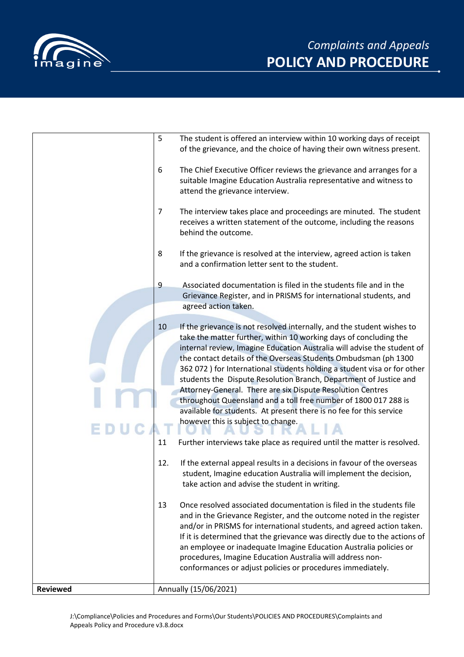

|                 | 5              | The student is offered an interview within 10 working days of receipt<br>of the grievance, and the choice of having their own witness present.                                                                                                                                                                                                                                                                                                                                                                                                                                                                                                                                                                                                                      |
|-----------------|----------------|---------------------------------------------------------------------------------------------------------------------------------------------------------------------------------------------------------------------------------------------------------------------------------------------------------------------------------------------------------------------------------------------------------------------------------------------------------------------------------------------------------------------------------------------------------------------------------------------------------------------------------------------------------------------------------------------------------------------------------------------------------------------|
| E               | 6              | The Chief Executive Officer reviews the grievance and arranges for a<br>suitable Imagine Education Australia representative and witness to<br>attend the grievance interview.                                                                                                                                                                                                                                                                                                                                                                                                                                                                                                                                                                                       |
|                 | $\overline{7}$ | The interview takes place and proceedings are minuted. The student<br>receives a written statement of the outcome, including the reasons<br>behind the outcome.                                                                                                                                                                                                                                                                                                                                                                                                                                                                                                                                                                                                     |
|                 | 8              | If the grievance is resolved at the interview, agreed action is taken<br>and a confirmation letter sent to the student.                                                                                                                                                                                                                                                                                                                                                                                                                                                                                                                                                                                                                                             |
|                 | $\overline{9}$ | Associated documentation is filed in the students file and in the<br>Grievance Register, and in PRISMS for international students, and<br>agreed action taken.                                                                                                                                                                                                                                                                                                                                                                                                                                                                                                                                                                                                      |
|                 | 10<br>11       | If the grievance is not resolved internally, and the student wishes to<br>take the matter further, within 10 working days of concluding the<br>internal review, Imagine Education Australia will advise the student of<br>the contact details of the Overseas Students Ombudsman (ph 1300<br>362 072 ) for International students holding a student visa or for other<br>students the Dispute Resolution Branch, Department of Justice and<br>Attorney-General. There are six Dispute Resolution Centres<br>throughout Queensland and a toll free number of 1800 017 288 is<br>available for students. At present there is no fee for this service<br>however this is subject to change.<br>Further interviews take place as required until the matter is resolved. |
|                 | 12.            | If the external appeal results in a decisions in favour of the overseas<br>student, Imagine education Australia will implement the decision,<br>take action and advise the student in writing.                                                                                                                                                                                                                                                                                                                                                                                                                                                                                                                                                                      |
|                 | 13             | Once resolved associated documentation is filed in the students file<br>and in the Grievance Register, and the outcome noted in the register<br>and/or in PRISMS for international students, and agreed action taken.<br>If it is determined that the grievance was directly due to the actions of<br>an employee or inadequate Imagine Education Australia policies or<br>procedures, Imagine Education Australia will address non-<br>conformances or adjust policies or procedures immediately.                                                                                                                                                                                                                                                                  |
| <b>Reviewed</b> |                | Annually (15/06/2021)                                                                                                                                                                                                                                                                                                                                                                                                                                                                                                                                                                                                                                                                                                                                               |